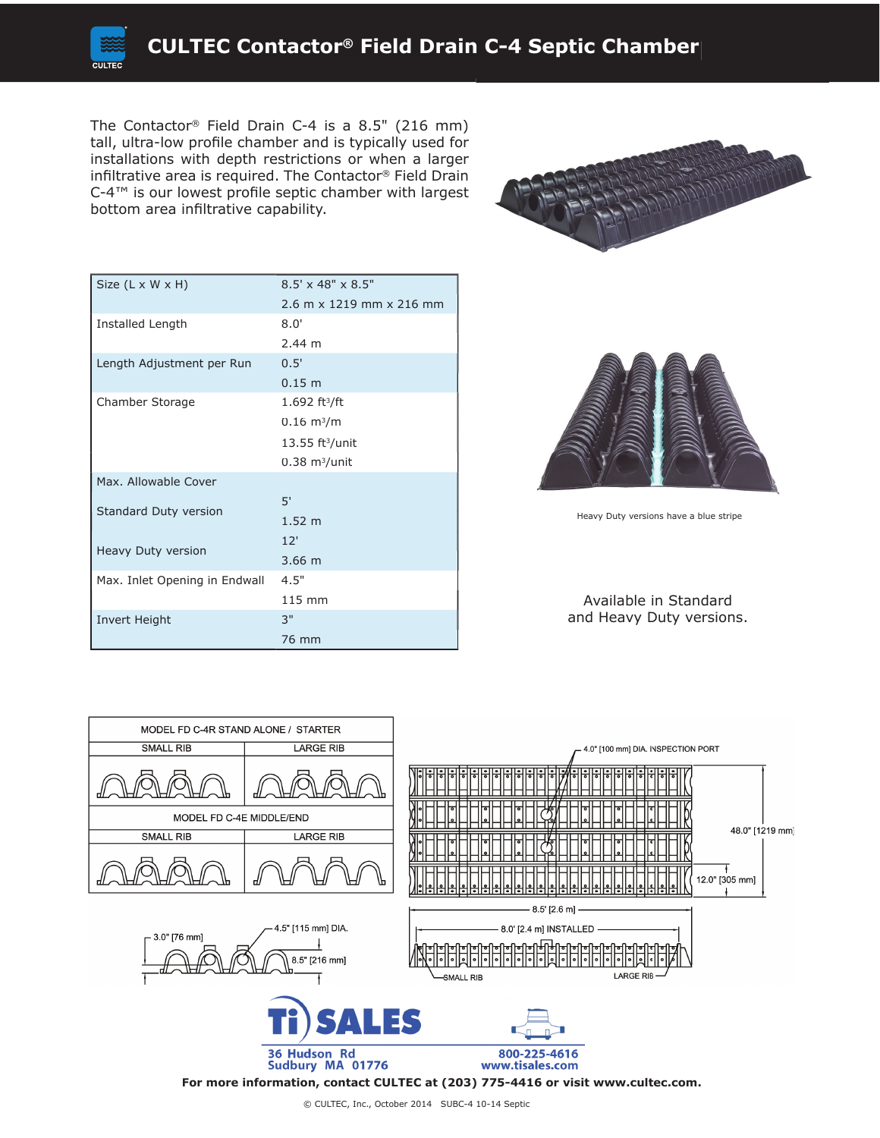

The Contactor® Field Drain C-4 is a 8.5" (216 mm) tall, ultra-low profile chamber and is typically used for installations with depth restrictions or when a larger infiltrative area is required. The Contactor® Field Drain  $C$ -4™ is our lowest profile septic chamber with largest bottom area infiltrative capability.



| Size $(L \times W \times H)$  | $8.5' \times 48'' \times 8.5''$ |
|-------------------------------|---------------------------------|
|                               | 2.6 m x 1219 mm x 216 mm        |
| Installed Length              | 8.0'                            |
|                               | $2.44 \; m$                     |
| Length Adjustment per Run     | 0.5'                            |
|                               | 0.15 m                          |
| Chamber Storage               | 1.692 ft <sup>3</sup> /ft       |
|                               | $0.16 \; \rm m^3/m$             |
|                               | $13.55$ ft <sup>3</sup> /unit   |
|                               | $0.38$ m <sup>3</sup> /unit     |
| Max. Allowable Cover          |                                 |
| Standard Duty version         | 5'                              |
|                               | 1.52 <sub>m</sub>               |
| Heavy Duty version            | 12'                             |
|                               | $3.66$ m                        |
| Max. Inlet Opening in Endwall | 4.5"                            |
|                               | 115 mm                          |
| Invert Height                 | 3"                              |
|                               | 76 mm                           |



Heavy Duty versions have a blue stripe

Available in Standard and Heavy Duty versions.



© CULTEC, Inc., October 2014 SUBC-4 10-14 Septic